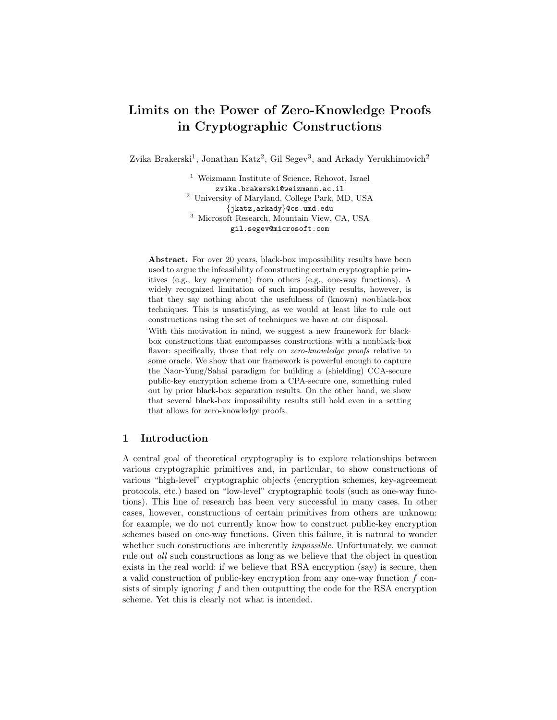# Limits on the Power of Zero-Knowledge Proofs in Cryptographic Constructions

Zvika Brakerski<sup>1</sup>, Jonathan Katz<sup>2</sup>, Gil Segev<sup>3</sup>, and Arkady Yerukhimovich<sup>2</sup>

<sup>1</sup> Weizmann Institute of Science, Rehovot, Israel zvika.brakerski@weizmann.ac.il <sup>2</sup> University of Maryland, College Park, MD, USA {jkatz,arkady}@cs.umd.edu <sup>3</sup> Microsoft Research, Mountain View, CA, USA gil.segev@microsoft.com

Abstract. For over 20 years, black-box impossibility results have been used to argue the infeasibility of constructing certain cryptographic primitives (e.g., key agreement) from others (e.g., one-way functions). A widely recognized limitation of such impossibility results, however, is that they say nothing about the usefulness of (known) nonblack-box techniques. This is unsatisfying, as we would at least like to rule out constructions using the set of techniques we have at our disposal.

With this motivation in mind, we suggest a new framework for blackbox constructions that encompasses constructions with a nonblack-box flavor: specifically, those that rely on *zero-knowledge proofs* relative to some oracle. We show that our framework is powerful enough to capture the Naor-Yung/Sahai paradigm for building a (shielding) CCA-secure public-key encryption scheme from a CPA-secure one, something ruled out by prior black-box separation results. On the other hand, we show that several black-box impossibility results still hold even in a setting that allows for zero-knowledge proofs.

## 1 Introduction

A central goal of theoretical cryptography is to explore relationships between various cryptographic primitives and, in particular, to show constructions of various "high-level" cryptographic objects (encryption schemes, key-agreement protocols, etc.) based on "low-level" cryptographic tools (such as one-way functions). This line of research has been very successful in many cases. In other cases, however, constructions of certain primitives from others are unknown: for example, we do not currently know how to construct public-key encryption schemes based on one-way functions. Given this failure, it is natural to wonder whether such constructions are inherently *impossible*. Unfortunately, we cannot rule out all such constructions as long as we believe that the object in question exists in the real world: if we believe that RSA encryption (say) is secure, then a valid construction of public-key encryption from any one-way function f consists of simply ignoring  $f$  and then outputting the code for the RSA encryption scheme. Yet this is clearly not what is intended.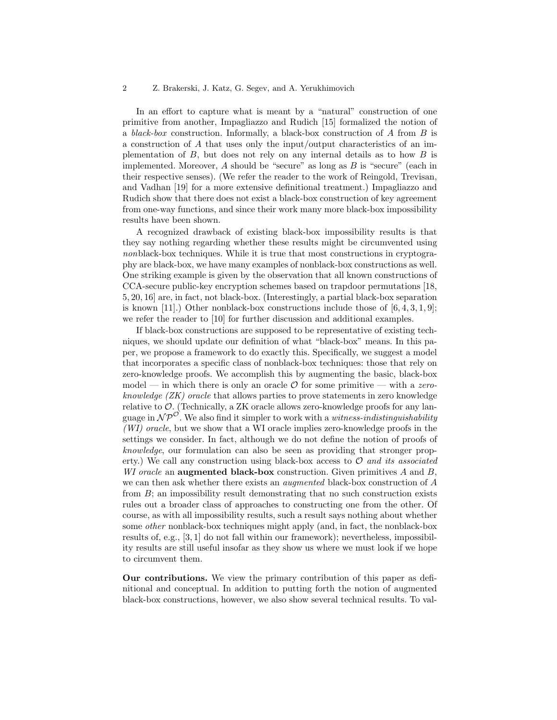In an effort to capture what is meant by a "natural" construction of one primitive from another, Impagliazzo and Rudich [15] formalized the notion of a black-box construction. Informally, a black-box construction of  $A$  from  $B$  is a construction of A that uses only the input/output characteristics of an implementation of  $B$ , but does not rely on any internal details as to how  $B$  is implemented. Moreover,  $A$  should be "secure" as long as  $B$  is "secure" (each in their respective senses). (We refer the reader to the work of Reingold, Trevisan, and Vadhan [19] for a more extensive definitional treatment.) Impagliazzo and Rudich show that there does not exist a black-box construction of key agreement from one-way functions, and since their work many more black-box impossibility results have been shown.

A recognized drawback of existing black-box impossibility results is that they say nothing regarding whether these results might be circumvented using nonblack-box techniques. While it is true that most constructions in cryptography are black-box, we have many examples of nonblack-box constructions as well. One striking example is given by the observation that all known constructions of CCA-secure public-key encryption schemes based on trapdoor permutations [18, 5, 20, 16] are, in fact, not black-box. (Interestingly, a partial black-box separation is known [11].) Other nonblack-box constructions include those of  $[6, 4, 3, 1, 9]$ ; we refer the reader to [10] for further discussion and additional examples.

If black-box constructions are supposed to be representative of existing techniques, we should update our definition of what "black-box" means. In this paper, we propose a framework to do exactly this. Specifically, we suggest a model that incorporates a specific class of nonblack-box techniques: those that rely on zero-knowledge proofs. We accomplish this by augmenting the basic, black-box model — in which there is only an oracle  $\mathcal O$  for some primitive — with a zeroknowledge  $(ZK)$  oracle that allows parties to prove statements in zero knowledge relative to  $\mathcal{O}$ . (Technically, a ZK oracle allows zero-knowledge proofs for any language in  $\mathcal{NP}^{\mathcal{O}}$ . We also find it simpler to work with a *witness-indistinguishability* (WI) oracle, but we show that a WI oracle implies zero-knowledge proofs in the settings we consider. In fact, although we do not define the notion of proofs of knowledge, our formulation can also be seen as providing that stronger property.) We call any construction using black-box access to  $\mathcal{O}$  and its associated WI oracle an **augmented black-box** construction. Given primitives  $A$  and  $B$ , we can then ask whether there exists an *augmented* black-box construction of  $A$ from B; an impossibility result demonstrating that no such construction exists rules out a broader class of approaches to constructing one from the other. Of course, as with all impossibility results, such a result says nothing about whether some other nonblack-box techniques might apply (and, in fact, the nonblack-box results of, e.g., [3, 1] do not fall within our framework); nevertheless, impossibility results are still useful insofar as they show us where we must look if we hope to circumvent them.

Our contributions. We view the primary contribution of this paper as definitional and conceptual. In addition to putting forth the notion of augmented black-box constructions, however, we also show several technical results. To val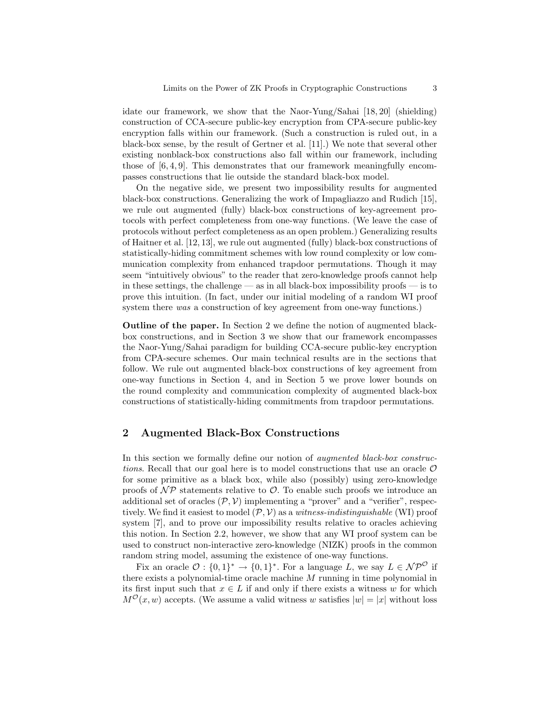idate our framework, we show that the Naor-Yung/Sahai [18, 20] (shielding) construction of CCA-secure public-key encryption from CPA-secure public-key encryption falls within our framework. (Such a construction is ruled out, in a black-box sense, by the result of Gertner et al. [11].) We note that several other existing nonblack-box constructions also fall within our framework, including those of [6, 4, 9]. This demonstrates that our framework meaningfully encompasses constructions that lie outside the standard black-box model.

On the negative side, we present two impossibility results for augmented black-box constructions. Generalizing the work of Impagliazzo and Rudich [15], we rule out augmented (fully) black-box constructions of key-agreement protocols with perfect completeness from one-way functions. (We leave the case of protocols without perfect completeness as an open problem.) Generalizing results of Haitner et al. [12, 13], we rule out augmented (fully) black-box constructions of statistically-hiding commitment schemes with low round complexity or low communication complexity from enhanced trapdoor permutations. Though it may seem "intuitively obvious" to the reader that zero-knowledge proofs cannot help in these settings, the challenge — as in all black-box impossibility proofs — is to prove this intuition. (In fact, under our initial modeling of a random WI proof system there was a construction of key agreement from one-way functions.)

Outline of the paper. In Section 2 we define the notion of augmented blackbox constructions, and in Section 3 we show that our framework encompasses the Naor-Yung/Sahai paradigm for building CCA-secure public-key encryption from CPA-secure schemes. Our main technical results are in the sections that follow. We rule out augmented black-box constructions of key agreement from one-way functions in Section 4, and in Section 5 we prove lower bounds on the round complexity and communication complexity of augmented black-box constructions of statistically-hiding commitments from trapdoor permutations.

# 2 Augmented Black-Box Constructions

In this section we formally define our notion of augmented black-box constructions. Recall that our goal here is to model constructions that use an oracle  $\mathcal O$ for some primitive as a black box, while also (possibly) using zero-knowledge proofs of  $\mathcal{NP}$  statements relative to  $\mathcal{O}$ . To enable such proofs we introduce an additional set of oracles  $(\mathcal{P}, \mathcal{V})$  implementing a "prover" and a "verifier", respectively. We find it easiest to model  $(\mathcal{P}, V)$  as a witness-indistinguishable (WI) proof system [7], and to prove our impossibility results relative to oracles achieving this notion. In Section 2.2, however, we show that any WI proof system can be used to construct non-interactive zero-knowledge (NIZK) proofs in the common random string model, assuming the existence of one-way functions.

Fix an oracle  $\mathcal{O}: \{0,1\}^* \to \{0,1\}^*$ . For a language L, we say  $L \in \mathcal{NP}^{\mathcal{O}}$  if there exists a polynomial-time oracle machine M running in time polynomial in its first input such that  $x \in L$  if and only if there exists a witness w for which  $M^{O}(x, w)$  accepts. (We assume a valid witness w satisfies  $|w| = |x|$  without loss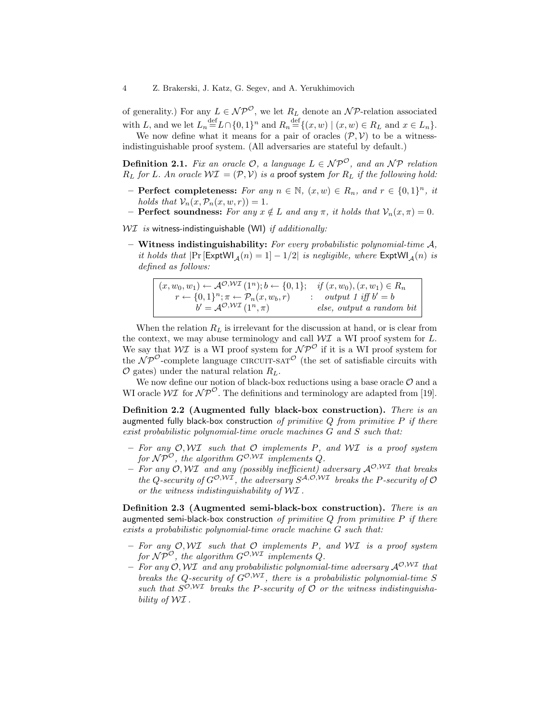of generality.) For any  $L \in \mathcal{NP}^{\mathcal{O}}$ , we let  $R_L$  denote an  $\mathcal{NP}$ -relation associated with L, and we let  $L_n = L \cap \{0, 1\}^n$  and  $R_n = \{ (x, w) \mid (x, w) \in R_L \text{ and } x \in L_n \}.$ 

We now define what it means for a pair of oracles  $(\mathcal{P}, \mathcal{V})$  to be a witnessindistinguishable proof system. (All adversaries are stateful by default.)

**Definition 2.1.** Fix an oracle  $\mathcal{O}$ , a language  $L \in \mathcal{NP}^{\mathcal{O}}$ , and an  $\mathcal{NP}$  relation  $R_L$  for L. An oracle  $W\mathcal{I} = (\mathcal{P}, V)$  is a proof system for  $R_L$  if the following hold:

- Perfect completeness: For any  $n \in \mathbb{N}$ ,  $(x, w) \in R_n$ , and  $r \in \{0, 1\}^n$ , it holds that  $\mathcal{V}_n(x, \mathcal{P}_n(x, w, r)) = 1$ .
- **Perfect soundness:** For any  $x \notin L$  and any  $\pi$ , it holds that  $\mathcal{V}_n(x, \pi) = 0$ .

 $WT$  is witness-indistinguishable (WI) if additionally:

– Witness indistinguishability: For every probabilistic polynomial-time  $A$ , it holds that  $|\Pr[\text{ExptWI}_A(n) = 1] - 1/2|$  is negligible, where  $\text{ExptWI}_A(n)$  is defined as follows:

 $(x, w_0, w_1) \leftarrow \mathcal{A}^{\mathcal{O}, \mathcal{W}\mathcal{I}}(1^n); b \leftarrow \{0, 1\};$  $r \leftarrow \{0,1\}^n; \pi \leftarrow \mathcal{P}_n(x,w_b,r)$  $b' = A^{\mathcal{O},\mathcal{W}\mathcal{I}}(1^n,\pi)$ : if  $(x, w_0), (x, w_1) \in R_n$ output 1 iff  $b' = b$ else, output a random bit

When the relation  $R_L$  is irrelevant for the discussion at hand, or is clear from the context, we may abuse terminology and call  $\mathcal{W} \mathcal{I}$  a WI proof system for  $L$ . We say that  $W\mathcal{I}$  is a WI proof system for  $\mathcal{NP}^{\mathcal{O}}$  if it is a WI proof system for the  $\hat{N}P^{\mathcal{O}}$ -complete language CIRCUIT-SAT<sup> $\mathcal{O}$ </sup> (the set of satisfiable circuits with  $\mathcal{O}$  gates) under the natural relation  $R_L$ .

We now define our notion of black-box reductions using a base oracle  $\mathcal O$  and a WI oracle  $\mathcal{W} \mathcal{I}$  for  $\mathcal{NP}^{\mathcal{O}}$ . The definitions and terminology are adapted from [19].

Definition 2.2 (Augmented fully black-box construction). There is an augmented fully black-box construction of primitive  $Q$  from primitive  $P$  if there exist probabilistic polynomial-time oracle machines G and S such that:

- For any  $O, WI$  such that  $O$  implements P, and  $WI$  is a proof system for  $\mathcal{NP}^{\mathcal{O}}$ , the algorithm  $G^{\mathcal{O}, W\mathcal{I}}$  implements  $\mathcal{O}$ .
- For any  $O, W\mathcal{I}$  and any (possibly inefficient) adversary  $\mathcal{A}^{O,W\mathcal{I}}$  that breaks the Q-security of  $G^{\mathcal{O},\mathcal{W}\mathcal{I}}$ , the adversary  $S^{\mathcal{A},\mathcal{O},\mathcal{W}\mathcal{I}}$  breaks the P-security of  $\mathcal O$ or the witness indistinguishability of WI .

Definition 2.3 (Augmented semi-black-box construction). There is an augmented semi-black-box construction of primitive  $Q$  from primitive  $P$  if there exists a probabilistic polynomial-time oracle machine G such that:

- For any  $O, WI$  such that  $O$  implements P, and  $WI$  is a proof system for  $\mathcal{NP}^{\mathcal{O}}$ , the algorithm  $G^{\mathcal{O},\mathcal{WI}}$  implements Q.
- For any  $O, W\mathcal{I}$  and any probabilistic polynomial-time adversary  $\mathcal{A}^{O,W\mathcal{I}}$  that breaks the Q-security of  $G^{O,\mathcal{W}I}$ , there is a probabilistic polynomial-time S such that  $S^{O,WI}$  breaks the P-security of O or the witness indistinguishability of  $\mathcal{W} \mathcal{I}$ .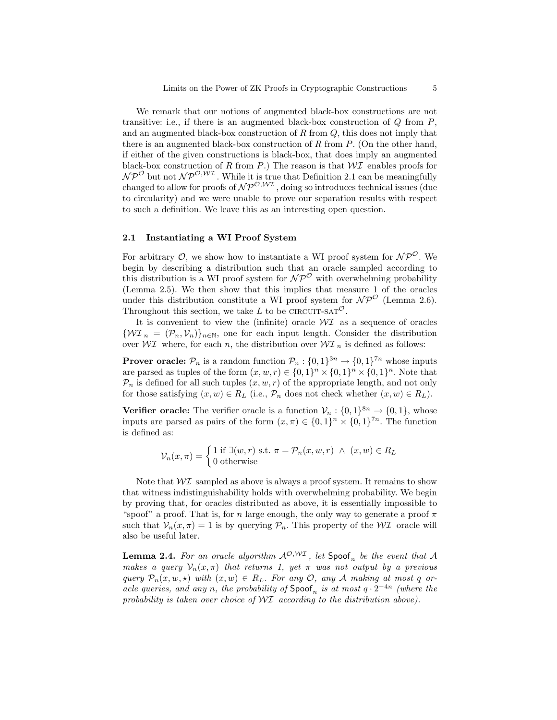We remark that our notions of augmented black-box constructions are not transitive: i.e., if there is an augmented black-box construction of  $Q$  from  $P$ , and an augmented black-box construction of  $R$  from  $Q$ , this does not imply that there is an augmented black-box construction of R from  $P$ . (On the other hand, if either of the given constructions is black-box, that does imply an augmented black-box construction of R from P.) The reason is that  $W\mathcal{I}$  enables proofs for  $\mathcal{NP}^{\mathcal{O}}$  but not  $\mathcal{NP}^{\mathcal{O},\mathcal{WI}}$ . While it is true that Definition 2.1 can be meaningfully changed to allow for proofs of  $\mathcal{NP}^{O,WI}$ , doing so introduces technical issues (due to circularity) and we were unable to prove our separation results with respect to such a definition. We leave this as an interesting open question.

# 2.1 Instantiating a WI Proof System

For arbitrary  $\mathcal{O}$ , we show how to instantiate a WI proof system for  $\mathcal{NP}^{\mathcal{O}}$ . We begin by describing a distribution such that an oracle sampled according to this distribution is a WI proof system for  $\mathcal{NP}^{\mathcal{O}}$  with overwhelming probability (Lemma 2.5). We then show that this implies that measure 1 of the oracles under this distribution constitute a WI proof system for  $\mathcal{NP}^{\mathcal{O}}$  (Lemma 2.6). Throughout this section, we take L to be CIRCUIT-SAT<sup> $\mathcal{O}$ </sup>.

It is convenient to view the (infinite) oracle  $\mathcal{W} \mathcal{I}$  as a sequence of oracles  ${\mathcal{W}}{\mathcal{I}}_n = ({\mathcal{P}}_n, {\mathcal{V}}_n)_{n\in\mathbb{N}}$ , one for each input length. Consider the distribution over  $\mathcal{W} \mathcal{I}$  where, for each n, the distribution over  $\mathcal{W} \mathcal{I}$ <sub>n</sub> is defined as follows:

**Prover oracle:**  $\mathcal{P}_n$  is a random function  $\mathcal{P}_n: \{0,1\}^{3n} \to \{0,1\}^{7n}$  whose inputs are parsed as tuples of the form  $(x, w, r) \in \{0, 1\}^n \times \{0, 1\}^n \times \{0, 1\}^n$ . Note that  $\mathcal{P}_n$  is defined for all such tuples  $(x, w, r)$  of the appropriate length, and not only for those satisfying  $(x, w) \in R_L$  (i.e.,  $\mathcal{P}_n$  does not check whether  $(x, w) \in R_L$ ).

**Verifier oracle:** The verifier oracle is a function  $V_n: \{0,1\}^{8n} \to \{0,1\}$ , whose inputs are parsed as pairs of the form  $(x, \pi) \in \{0, 1\}^n \times \{0, 1\}^{\tau_n}$ . The function is defined as:

$$
\mathcal{V}_n(x,\pi) = \begin{cases} 1 \text{ if } \exists (w,r) \text{ s.t. } \pi = \mathcal{P}_n(x,w,r) \land (x,w) \in R_L \\ 0 \text{ otherwise} \end{cases}
$$

Note that  $\mathcal{W} \mathcal{I}$  sampled as above is always a proof system. It remains to show that witness indistinguishability holds with overwhelming probability. We begin by proving that, for oracles distributed as above, it is essentially impossible to "spoof" a proof. That is, for n large enough, the only way to generate a proof  $\pi$ such that  $V_n(x, \pi) = 1$  is by querying  $\mathcal{P}_n$ . This property of the WI oracle will also be useful later.

**Lemma 2.4.** For an oracle algorithm  $\mathcal{A}^{\mathcal{O},W\mathcal{I}}$ , let  $\mathsf{Spoof}_n$  be the event that  $\mathcal A$ makes a query  $\mathcal{V}_n(x,\pi)$  that returns 1, yet  $\pi$  was not output by a previous query  $\mathcal{P}_n(x, w, \star)$  with  $(x, w) \in R_L$ . For any O, any A making at most q oracle queries, and any n, the probability of  $\mathsf{Spoof}_n$  is at most  $q \cdot 2^{-4n}$  (where the probability is taken over choice of  $\mathcal{W}$  according to the distribution above).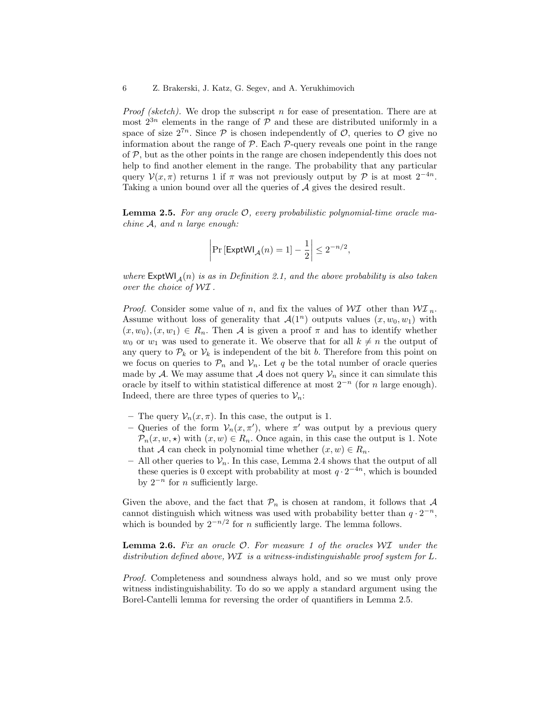*Proof (sketch)*. We drop the subscript n for ease of presentation. There are at most  $2^{3n}$  elements in the range of  $P$  and these are distributed uniformly in a space of size  $2^{7n}$ . Since P is chosen independently of O, queries to O give no information about the range of  $P$ . Each  $P$ -query reveals one point in the range of  $P$ , but as the other points in the range are chosen independently this does not help to find another element in the range. The probability that any particular query  $\mathcal{V}(x,\pi)$  returns 1 if  $\pi$  was not previously output by  $\mathcal{P}$  is at most  $2^{-4n}$ . Taking a union bound over all the queries of A gives the desired result.

**Lemma 2.5.** For any oracle  $\mathcal{O}$ , every probabilistic polynomial-time oracle machine A, and n large enough:

$$
\left|\Pr\left[\mathsf{ExptWI}_{\mathcal{A}}(n) = 1\right] - \frac{1}{2}\right| \le 2^{-n/2},
$$

where  $\textsf{ExptWI}_A(n)$  is as in Definition 2.1, and the above probability is also taken over the choice of WI .

*Proof.* Consider some value of n, and fix the values of  $\mathcal{W} \mathcal{I}$  other than  $\mathcal{W} \mathcal{I}_n$ . Assume without loss of generality that  $\mathcal{A}(1^n)$  outputs values  $(x, w_0, w_1)$  with  $(x, w_0), (x, w_1) \in R_n$ . Then A is given a proof  $\pi$  and has to identify whether  $w_0$  or  $w_1$  was used to generate it. We observe that for all  $k \neq n$  the output of any query to  $\mathcal{P}_k$  or  $\mathcal{V}_k$  is independent of the bit b. Therefore from this point on we focus on queries to  $\mathcal{P}_n$  and  $\mathcal{V}_n$ . Let q be the total number of oracle queries made by A. We may assume that A does not query  $\mathcal{V}_n$  since it can simulate this oracle by itself to within statistical difference at most  $2^{-n}$  (for n large enough). Indeed, there are three types of queries to  $\mathcal{V}_n$ :

- The query  $\mathcal{V}_n(x,\pi)$ . In this case, the output is 1.
- Queries of the form  $V_n(x, \pi')$ , where  $\pi'$  was output by a previous query  $\mathcal{P}_n(x, w, \star)$  with  $(x, w) \in R_n$ . Once again, in this case the output is 1. Note that A can check in polynomial time whether  $(x, w) \in R_n$ .
- All other queries to  $\mathcal{V}_n$ . In this case, Lemma 2.4 shows that the output of all these queries is 0 except with probability at most  $q \cdot 2^{-4n}$ , which is bounded by  $2^{-n}$  for *n* sufficiently large.

Given the above, and the fact that  $\mathcal{P}_n$  is chosen at random, it follows that A cannot distinguish which witness was used with probability better than  $q \cdot 2^{-n}$ , which is bounded by  $2^{-n/2}$  for n sufficiently large. The lemma follows.

**Lemma 2.6.** Fix an oracle  $\mathcal{O}$ . For measure 1 of the oracles  $\mathcal{W}$  under the distribution defined above, WI is a witness-indistinguishable proof system for L.

Proof. Completeness and soundness always hold, and so we must only prove witness indistinguishability. To do so we apply a standard argument using the Borel-Cantelli lemma for reversing the order of quantifiers in Lemma 2.5.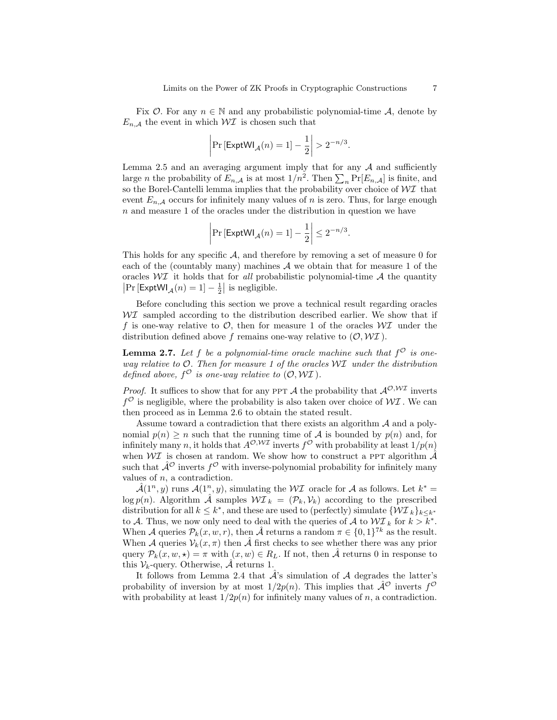Fix  $\mathcal{O}$ . For any  $n \in \mathbb{N}$  and any probabilistic polynomial-time A, denote by  $E_{n,\mathcal{A}}$  the event in which  $\mathcal{W} \mathcal{I}$  is chosen such that

$$
\left|\Pr\left[\mathsf{ExptWl}_{\mathcal{A}}(n)=1\right]-\frac{1}{2}\right|>2^{-n/3}.
$$

Lemma 2.5 and an averaging argument imply that for any  $A$  and sufficiently large *n* the probability of  $E_{n,\mathcal{A}}$  is at most  $1/n^2$ . Then  $\sum_n \Pr[E_{n,\mathcal{A}}]$  is finite, and so the Borel-Cantelli lemma implies that the probability over choice of  $\mathcal{W} \mathcal{I}$  that event  $E_{n,\mathcal{A}}$  occurs for infinitely many values of n is zero. Thus, for large enough n and measure 1 of the oracles under the distribution in question we have

$$
\left|\Pr\left[\mathsf{ExptWI}_{\mathcal{A}}(n) = 1\right] - \frac{1}{2}\right| \le 2^{-n/3}.
$$

This holds for any specific  $A$ , and therefore by removing a set of measure 0 for each of the (countably many) machines  $A$  we obtain that for measure 1 of the oracles  $\mathcal{W} \mathcal{I}$  it holds that for all probabilistic polynomial-time  $\mathcal{A}$  the quantity  $\left|\Pr\left[\mathsf{ExptWI}_{\mathcal{A}}(n)=1\right]-\frac{1}{2}\right|$  is negligible.

Before concluding this section we prove a technical result regarding oracles  $\mathcal{W}$  sampled according to the distribution described earlier. We show that if f is one-way relative to  $\mathcal{O}$ , then for measure 1 of the oracles  $\mathcal{W}$  under the distribution defined above f remains one-way relative to  $(0, WI)$ .

**Lemma 2.7.** Let f be a polynomial-time oracle machine such that  $f^{\mathcal{O}}$  is oneway relative to  $O$ . Then for measure 1 of the oracles  $W\mathcal{I}$  under the distribution defined above,  $f^{\mathcal{O}}$  is one-way relative to  $(\mathcal{O}, \mathcal{W}\mathcal{I})$ .

*Proof.* It suffices to show that for any PPT A the probability that  $\mathcal{A}^{\mathcal{O},W\mathcal{I}}$  inverts  $f^{\mathcal{O}}$  is negligible, where the probability is also taken over choice of  $\mathcal{W} \mathcal{I}$ . We can then proceed as in Lemma 2.6 to obtain the stated result.

Assume toward a contradiction that there exists an algorithm  $A$  and a polynomial  $p(n) \geq n$  such that the running time of A is bounded by  $p(n)$  and, for infinitely many n, it holds that  $A^{\mathcal{O}, W\mathcal{I}}$  inverts  $f^{\mathcal{O}}$  with probability at least  $1/p(n)$ when  $\mathcal{W} \mathcal{I}$  is chosen at random. We show how to construct a PPT algorithm  $\hat{\mathcal{A}}$ such that  $\hat{\mathcal{A}}^{\mathcal{O}}$  inverts  $f^{\mathcal{O}}$  with inverse-polynomial probability for infinitely many values of  $n$ , a contradiction.

 $\hat{\mathcal{A}}(1^n, y)$  runs  $\mathcal{A}(1^n, y)$ , simulating the WI oracle for A as follows. Let  $k^* =$  $\log p(n)$ . Algorithm  $\hat{\mathcal{A}}$  samples  $\mathcal{W I}_k = (\mathcal{P}_k, \mathcal{V}_k)$  according to the prescribed distribution for all  $k \leq k^*$ , and these are used to (perfectly) simulate  $\{ \mathcal{WI}_{k} \}_{k \leq k^*}$ to A. Thus, we now only need to deal with the queries of A to  $\mathcal{WI}_k$  for  $k > k^*$ . When A queries  $\mathcal{P}_k(x, w, r)$ , then  $\hat{\mathcal{A}}$  returns a random  $\pi \in \{0, 1\}^{7k}$  as the result. When A queries  $V_k(x, \pi)$  then  $\hat{\mathcal{A}}$  first checks to see whether there was any prior query  $\mathcal{P}_k(x, w, \star) = \pi$  with  $(x, w) \in R_L$ . If not, then  $\hat{\mathcal{A}}$  returns 0 in response to this  $V_k$ -query. Otherwise,  $\hat{\mathcal{A}}$  returns 1.

It follows from Lemma 2.4 that  $\hat{\mathcal{A}}$ 's simulation of  $\mathcal A$  degrades the latter's probability of inversion by at most  $1/2p(n)$ . This implies that  $\hat{\mathcal{A}}^{\mathcal{O}}$  inverts  $f^{\mathcal{O}}$ with probability at least  $1/2p(n)$  for infinitely many values of n, a contradiction.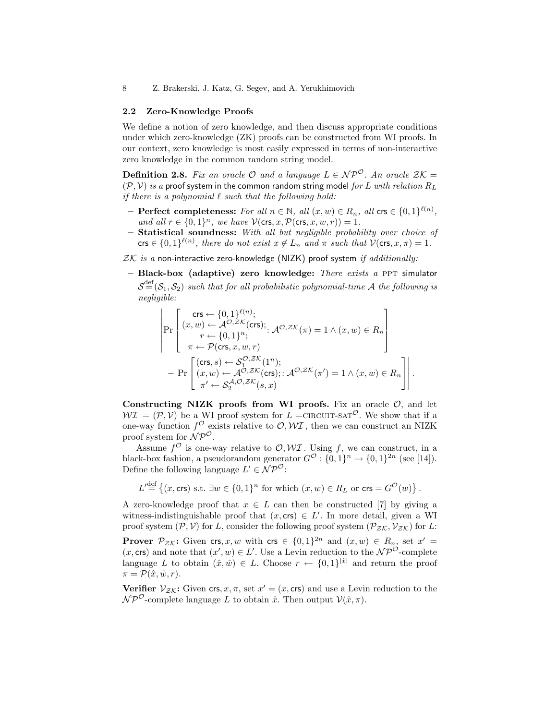## 2.2 Zero-Knowledge Proofs

We define a notion of zero knowledge, and then discuss appropriate conditions under which zero-knowledge (ZK) proofs can be constructed from WI proofs. In our context, zero knowledge is most easily expressed in terms of non-interactive zero knowledge in the common random string model.

**Definition 2.8.** Fix an oracle  $\mathcal{O}$  and a language  $L \in \mathcal{NP}^{\mathcal{O}}$ . An oracle  $\mathcal{ZK} =$  $(\mathcal{P}, \mathcal{V})$  is a proof system in the common random string model for L with relation  $R_L$ if there is a polynomial  $\ell$  such that the following hold:

- $-$  Perfect completeness: For all  $n \in \mathbb{N}$ , all  $(x, w) \in R_n$ , all crs  $\in \{0, 1\}^{\ell(n)}$ , and all  $r \in \{0,1\}^n$ , we have  $\mathcal{V}(\text{crs}, x, \mathcal{P}(\text{crs}, x, w, r)) = 1$ .
- $-$  Statistical soundness: With all but negligible probability over choice of crs  $\in \{0,1\}^{\ell(n)}$ , there do not exist  $x \notin L_n$  and  $\pi$  such that  $\mathcal{V}(\text{crs}, x, \pi) = 1$ .
- $ZK$  is a non-interactive zero-knowledge (NIZK) proof system if additionally:
- $-$  Black-box (adaptive) zero knowledge: There exists a PPT simulator  $\mathcal{S}^\text{def}(\mathcal{S}_1, \mathcal{S}_2)$  such that for all probabilistic polynomial-time A the following is negligible:

$$
\begin{aligned}\n & \left| \Pr \left[ \begin{matrix} \mathsf{crs} \leftarrow \{0,1\}^{\ell(n)}; \\ r \leftarrow \{0,1\}^n; \\ r \leftarrow \{0,1\}^n; \end{matrix} \right. \mathcal{A}^{\mathcal{O},Z\mathcal{K}}(\pi) = 1 \land (x,w) \in R_n \right. \right. \\
& \left. \pi \leftarrow \mathcal{P}(\mathsf{crs}, x, w, r) \right. \\
& \left. - \Pr \left[ \begin{matrix} (\mathsf{crs}, s) \leftarrow \mathcal{S}_1^{\mathcal{O},Z\mathcal{K}}(1^n); \\ (x,w) \leftarrow \mathcal{A}^{\mathcal{O},Z\mathcal{K}}(\mathsf{crs}) \right.; : \mathcal{A}^{\mathcal{O},Z\mathcal{K}}(\pi') = 1 \land (x,w) \in R_n \right. \right] \\
& \left. \pi' \leftarrow \mathcal{S}_2^{\mathcal{A},\mathcal{O},Z\mathcal{K}}(s,x)\n\end{matrix} \right.\n\end{aligned} \right.
$$

.

Constructing NIZK proofs from WI proofs. Fix an oracle  $\mathcal{O}$ , and let  $WI = (\mathcal{P}, V)$  be a WI proof system for  $L = CIRCUIT-SAT^{\mathcal{O}}$ . We show that if a one-way function  $f^{\mathcal{O}}$  exists relative to  $\mathcal{O}, \mathcal{W}\mathcal{I}$ , then we can construct an NIZK proof system for  $\hat{N} \mathcal{P}^{\mathcal{O}}$ .

Assume  $f^{\mathcal{O}}$  is one-way relative to  $\mathcal{O}, \mathcal{W} \mathcal{I}$ . Using f, we can construct, in a black-box fashion, a pseudorandom generator  $G^{\mathcal{O}}: \{0,1\}^n \to \{0,1\}^{2n}$  (see [14]). Define the following language  $L' \in \mathcal{NP}^{\mathcal{O}}$ :

 $L' \stackrel{\text{def}}{=} \left\{(x, \text{crs}) \text{ s.t. } \exists w \in \{0,1\}^n \text{ for which } (x, w) \in R_L \text{ or } \text{crs} = G^{\mathcal{O}}(w)\right\}.$ 

A zero-knowledge proof that  $x \in L$  can then be constructed [7] by giving a witness-indistinguishable proof that  $(x, \text{crs}) \in L'$ . In more detail, given a WI proof system  $(\mathcal{P}, \mathcal{V})$  for L, consider the following proof system  $(\mathcal{P}_{ZK}, \mathcal{V}_{ZK})$  for L:

**Prover**  $\mathcal{P}_{\mathcal{ZK}}$ : Given crs, x, w with crs  $\in \{0,1\}^{2n}$  and  $(x,w) \in R_n$ , set  $x' =$  $(x, \text{crs})$  and note that  $(x', w) \in L'$ . Use a Levin reduction to the  $\mathcal{NP}^{\mathcal{O}}$ -complete language L to obtain  $(\hat{x}, \hat{w}) \in L$ . Choose  $r \leftarrow \{0, 1\}^{|\hat{x}|}$  and return the proof  $\pi = \mathcal{P}(\hat{x}, \hat{w}, r).$ 

Verifier  $V_{ZK}$ : Given crs,  $x, \pi$ , set  $x' = (x, \text{crs})$  and use a Levin reduction to the  $\mathcal{NP}^{\mathcal{O}}$ -complete language L to obtain  $\hat{x}$ . Then output  $\mathcal{V}(\hat{x}, \pi)$ .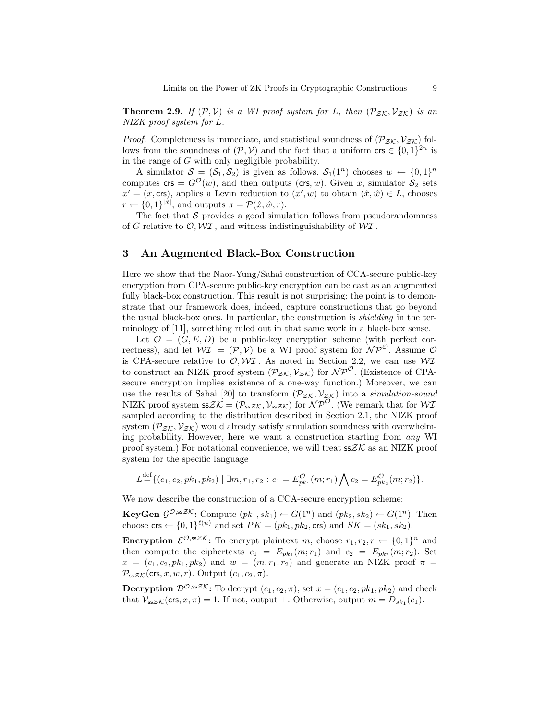**Theorem 2.9.** If  $(\mathcal{P}, \mathcal{V})$  is a WI proof system for L, then  $(\mathcal{P}_{\mathcal{Z}\mathcal{K}}, \mathcal{V}_{\mathcal{Z}\mathcal{K}})$  is an NIZK proof system for L.

*Proof.* Completeness is immediate, and statistical soundness of  $(\mathcal{P}_{\mathcal{ZK}}, \mathcal{V}_{\mathcal{ZK}})$  follows from the soundness of  $(\mathcal{P}, \mathcal{V})$  and the fact that a uniform  $\text{crs} \in \{0, 1\}^{2n}$  is in the range of  $G$  with only negligible probability.

A simulator  $S = (S_1, S_2)$  is given as follows.  $S_1(1^n)$  chooses  $w \leftarrow \{0, 1\}^n$ computes  $\textsf{crs} = G^{\mathcal{O}}(w)$ , and then outputs ( $\textsf{crs}, w$ ). Given x, simulator  $\mathcal{S}_2$  sets  $x' = (x, \text{crs})$ , applies a Levin reduction to  $(x', w)$  to obtain  $(\hat{x}, \hat{w}) \in L$ , chooses  $r \leftarrow \{0, 1\}^{|\hat{x}|}$ , and outputs  $\pi = \mathcal{P}(\hat{x}, \hat{w}, r)$ .

The fact that  $S$  provides a good simulation follows from pseudorandomness of G relative to  $\mathcal{O}, \mathcal{W} \mathcal{I}$ , and witness indistinguishability of  $\mathcal{W} \mathcal{I}$ .

# 3 An Augmented Black-Box Construction

Here we show that the Naor-Yung/Sahai construction of CCA-secure public-key encryption from CPA-secure public-key encryption can be cast as an augmented fully black-box construction. This result is not surprising; the point is to demonstrate that our framework does, indeed, capture constructions that go beyond the usual black-box ones. In particular, the construction is shielding in the terminology of [11], something ruled out in that same work in a black-box sense.

Let  $\mathcal{O} = (G, E, D)$  be a public-key encryption scheme (with perfect correctness), and let  $W\mathcal{I} = (\mathcal{P}, V)$  be a WI proof system for  $\mathcal{NP}^{\mathcal{O}}$ . Assume  $\mathcal{O}$ is CPA-secure relative to  $\mathcal{O}, \mathcal{W} \mathcal{I}$ . As noted in Section 2.2, we can use  $\mathcal{W} \mathcal{I}$ to construct an NIZK proof system  $(\mathcal{P}_{ZK}, \mathcal{V}_{ZK})$  for  $\mathcal{NP}^{\mathcal{O}}$ . (Existence of CPAsecure encryption implies existence of a one-way function.) Moreover, we can use the results of Sahai [20] to transform  $(\mathcal{P}_{\mathcal{Z}\mathcal{K}}, \mathcal{V}_{\mathcal{Z}\mathcal{K}})$  into a simulation-sound NIZK proof system  $ssZK = (P_{ssZK}, V_{ssZK})$  for  $N\overline{P}^{\overline{O}}$ . (We remark that for  $W\overline{I}$ sampled according to the distribution described in Section 2.1, the NIZK proof system  $(\mathcal{P}_{ZK}, \mathcal{V}_{ZK})$  would already satisfy simulation soundness with overwhelming probability. However, here we want a construction starting from any WI proof system.) For notational convenience, we will treat  $s\leq X$  as an NIZK proof system for the specific language

$$
L \stackrel{\text{def}}{=} \{ (c_1, c_2, pk_1, pk_2) \mid \exists m, r_1, r_2 : c_1 = E_{pk_1}^{\mathcal{O}}(m; r_1) \bigwedge c_2 = E_{pk_2}^{\mathcal{O}}(m; r_2) \}.
$$

We now describe the construction of a CCA-secure encryption scheme:

**KeyGen**  $\mathcal{G}^{\mathcal{O},ssZK}$ : Compute  $(pk_1, sk_1) \leftarrow G(1^n)$  and  $(pk_2, sk_2) \leftarrow G(1^n)$ . Then choose  $\mathsf{crs} \leftarrow \{0,1\}^{\ell(n)}$  and set  $PK = (pk_1, pk_2, \mathsf{crs})$  and  $SK = (sk_1, sk_2)$ .

**Encryption**  $\mathcal{E}^{\mathcal{O},ssZK}$ : To encrypt plaintext m, choose  $r_1, r_2, r \leftarrow \{0,1\}^n$  and then compute the ciphertexts  $c_1 = E_{pk_1}(m; r_1)$  and  $c_2 = E_{pk_2}(m; r_2)$ . Set  $x = (c_1, c_2, pk_1, pk_2)$  and  $w = (m, r_1, r_2)$  and generate an NIZK proof  $\pi$  $\mathcal{P}_{ssZK}$ (crs, x, w, r). Output  $(c_1, c_2, \pi)$ .

**Decryption**  $\mathcal{D}^{\mathcal{O},ssZK}$ : To decrypt  $(c_1, c_2, \pi)$ , set  $x = (c_1, c_2, pk_1, pk_2)$  and check that  $\mathcal{V}_{ssZK}(\text{crs}, x, \pi) = 1$ . If not, output  $\perp$ . Otherwise, output  $m = D_{sk_1}(c_1)$ .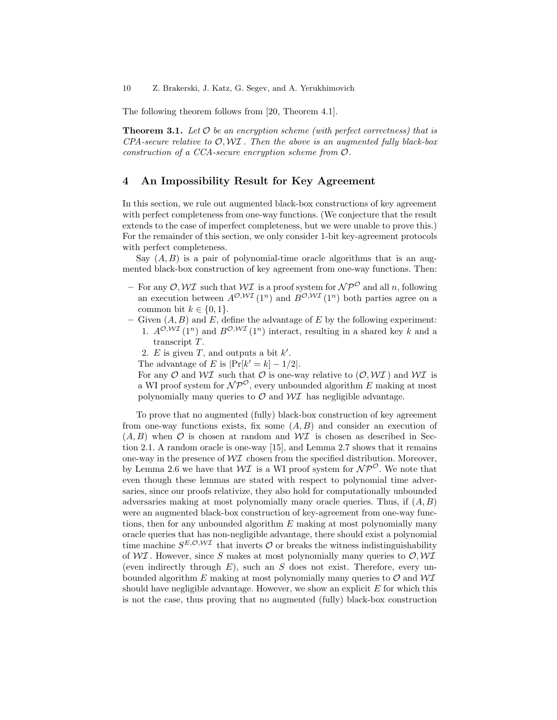The following theorem follows from [20, Theorem 4.1].

**Theorem 3.1.** Let  $\mathcal O$  be an encryption scheme (with perfect correctness) that is  $CPA$ -secure relative to  $\mathcal{O}, \mathcal{W}I$ . Then the above is an augmented fully black-box construction of a CCA-secure encryption scheme from O.

# 4 An Impossibility Result for Key Agreement

In this section, we rule out augmented black-box constructions of key agreement with perfect completeness from one-way functions. (We conjecture that the result extends to the case of imperfect completeness, but we were unable to prove this.) For the remainder of this section, we only consider 1-bit key-agreement protocols with perfect completeness.

Say  $(A, B)$  is a pair of polynomial-time oracle algorithms that is an augmented black-box construction of key agreement from one-way functions. Then:

- For any  $\mathcal{O}, \mathcal{W} \mathcal{I}$  such that  $\mathcal{W} \mathcal{I}$  is a proof system for  $\mathcal{NP}^{\mathcal{O}}$  and all n, following an execution between  $A^{\mathcal{O}, \mathcal{W} \mathcal{I}}(1^n)$  and  $B^{\mathcal{O}, \mathcal{W} \mathcal{I}}(1^n)$  both parties agree on a common bit  $k \in \{0, 1\}.$
- Given  $(A, B)$  and E, define the advantage of E by the following experiment: 1.  $A^{\mathcal{O}, W\mathcal{I}}(1^n)$  and  $B^{\mathcal{O}, W\mathcal{I}}(1^n)$  interact, resulting in a shared key k and a
	- transcript T.
	- 2. E is given T, and outputs a bit  $k'$ .
	- The advantage of E is  $|\Pr[k'=k]-1/2|$ .

For any  $\mathcal O$  and  $\mathcal W\mathcal I$  such that  $\mathcal O$  is one-way relative to  $(\mathcal O,\mathcal W\mathcal I)$  and  $\mathcal W\mathcal I$  is a WI proof system for  $\mathcal{NP}^{\mathcal{O}}$ , every unbounded algorithm E making at most polynomially many queries to  $\mathcal O$  and  $\mathcal W\mathcal I$  has negligible advantage.

To prove that no augmented (fully) black-box construction of key agreement from one-way functions exists, fix some  $(A, B)$  and consider an execution of  $(A, B)$  when  $\mathcal O$  is chosen at random and  $\mathcal {W}$  is chosen as described in Section 2.1. A random oracle is one-way [15], and Lemma 2.7 shows that it remains one-way in the presence of  $\mathcal{W} \mathcal{I}$  chosen from the specified distribution. Moreover, by Lemma 2.6 we have that  $W\mathcal{I}$  is a WI proof system for  $\mathcal{NP}^{\mathcal{O}}$ . We note that even though these lemmas are stated with respect to polynomial time adversaries, since our proofs relativize, they also hold for computationally unbounded adversaries making at most polynomially many oracle queries. Thus, if  $(A, B)$ were an augmented black-box construction of key-agreement from one-way functions, then for any unbounded algorithm E making at most polynomially many oracle queries that has non-negligible advantage, there should exist a polynomial time machine  $S^{E, \mathcal{O}, \mathcal{W} \mathcal{I}}$  that inverts  $\mathcal O$  or breaks the witness indistinguishability of  $\mathcal{W} \mathcal{I}$ . However, since S makes at most polynomially many queries to  $\mathcal{O}, \mathcal{W} \mathcal{I}$ (even indirectly through  $E$ ), such an S does not exist. Therefore, every unbounded algorithm E making at most polynomially many queries to  $\mathcal O$  and  $\mathcal{W} \mathcal{I}$ should have negligible advantage. However, we show an explicit  $E$  for which this is not the case, thus proving that no augmented (fully) black-box construction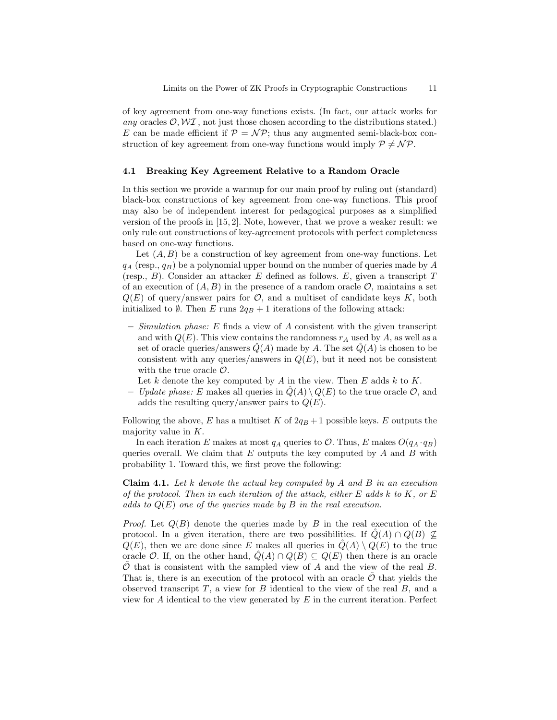of key agreement from one-way functions exists. (In fact, our attack works for any oracles  $\mathcal{O}, \mathcal{W} \mathcal{I}$ , not just those chosen according to the distributions stated.) E can be made efficient if  $P = \mathcal{NP}$ ; thus any augmented semi-black-box construction of key agreement from one-way functions would imply  $P \neq \mathcal{NP}$ .

## 4.1 Breaking Key Agreement Relative to a Random Oracle

In this section we provide a warmup for our main proof by ruling out (standard) black-box constructions of key agreement from one-way functions. This proof may also be of independent interest for pedagogical purposes as a simplified version of the proofs in [15, 2]. Note, however, that we prove a weaker result: we only rule out constructions of key-agreement protocols with perfect completeness based on one-way functions.

Let  $(A, B)$  be a construction of key agreement from one-way functions. Let  $q_A$  (resp.,  $q_B$ ) be a polynomial upper bound on the number of queries made by A (resp.,  $B$ ). Consider an attacker E defined as follows. E, given a transcript T of an execution of  $(A, B)$  in the presence of a random oracle  $\mathcal{O}$ , maintains a set  $Q(E)$  of query/answer pairs for  $\mathcal{O}$ , and a multiset of candidate keys K, both initialized to  $\emptyset$ . Then E runs  $2q_B + 1$  iterations of the following attack:

- Simulation phase: E finds a view of A consistent with the given transcript and with  $Q(E)$ . This view contains the randomness  $r_A$  used by A, as well as a set of oracle queries/answers  $\hat{Q}(A)$  made by A. The set  $\hat{Q}(A)$  is chosen to be consistent with any queries/answers in  $Q(E)$ , but it need not be consistent with the true oracle  $\mathcal{O}$ .
	- Let k denote the key computed by A in the view. Then E adds  $k$  to K.
- Update phase: E makes all queries in  $\hat{Q}(A) \setminus Q(E)$  to the true oracle  $\mathcal{O}$ , and adds the resulting query/answer pairs to  $Q(E)$ .

Following the above, E has a multiset K of  $2q_B + 1$  possible keys. E outputs the majority value in K.

In each iteration E makes at most  $q_A$  queries to  $\mathcal{O}$ . Thus, E makes  $O(q_A \cdot q_B)$ queries overall. We claim that  $E$  outputs the key computed by  $A$  and  $B$  with probability 1. Toward this, we first prove the following:

**Claim 4.1.** Let k denote the actual key computed by A and B in an execution of the protocol. Then in each iteration of the attack, either E adds k to K, or E adds to  $Q(E)$  one of the queries made by B in the real execution.

*Proof.* Let  $Q(B)$  denote the queries made by B in the real execution of the protocol. In a given iteration, there are two possibilities. If  $\hat{Q}(A) \cap Q(B) \nsubseteq$  $Q(E)$ , then we are done since E makes all queries in  $\hat{Q}(A) \setminus Q(E)$  to the true oracle O. If, on the other hand,  $\hat{Q}(A) \cap Q(B) \subseteq Q(E)$  then there is an oracle  $O$  that is consistent with the sampled view of A and the view of the real  $B$ . That is, there is an execution of the protocol with an oracle  $\mathcal O$  that yields the observed transcript  $T$ , a view for  $B$  identical to the view of the real  $B$ , and a view for  $A$  identical to the view generated by  $E$  in the current iteration. Perfect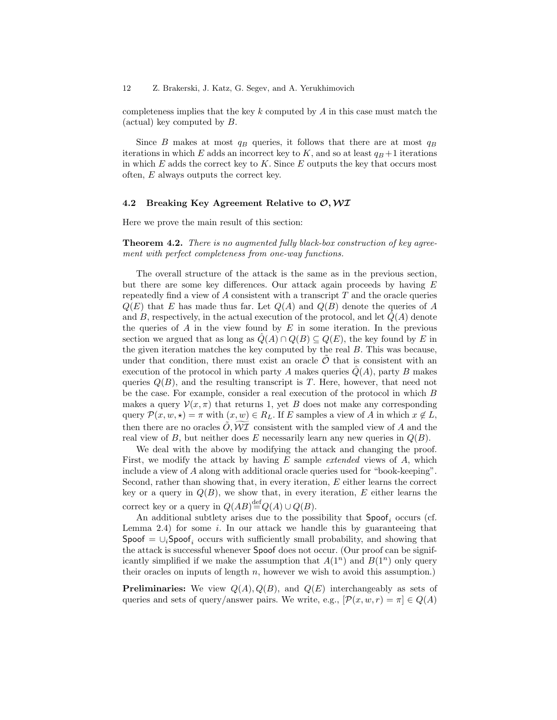completeness implies that the key  $k$  computed by  $A$  in this case must match the (actual) key computed by B.

Since B makes at most  $q_B$  queries, it follows that there are at most  $q_B$ iterations in which E adds an incorrect key to K, and so at least  $q_B + 1$  iterations in which  $E$  adds the correct key to  $K$ . Since  $E$  outputs the key that occurs most often, E always outputs the correct key.

### 4.2 Breaking Key Agreement Relative to  $\mathcal{O}, \mathcal{W} \mathcal{I}$

Here we prove the main result of this section:

Theorem 4.2. There is no augmented fully black-box construction of key agreement with perfect completeness from one-way functions.

The overall structure of the attack is the same as in the previous section, but there are some key differences. Our attack again proceeds by having E repeatedly find a view of  $A$  consistent with a transcript  $T$  and the oracle queries  $Q(E)$  that E has made thus far. Let  $Q(A)$  and  $Q(B)$  denote the queries of A and B, respectively, in the actual execution of the protocol, and let  $Q(A)$  denote the queries of  $A$  in the view found by  $E$  in some iteration. In the previous section we argued that as long as  $\hat{Q}(A) \cap Q(B) \subseteq Q(E)$ , the key found by E in the given iteration matches the key computed by the real  $B$ . This was because, under that condition, there must exist an oracle  $\ddot{\mathcal{O}}$  that is consistent with an execution of the protocol in which party A makes queries  $Q(A)$ , party B makes queries  $Q(B)$ , and the resulting transcript is T. Here, however, that need not be the case. For example, consider a real execution of the protocol in which B makes a query  $\mathcal{V}(x, \pi)$  that returns 1, yet B does not make any corresponding query  $\mathcal{P}(x, w, \star) = \pi$  with  $(x, w) \in R_L$ . If E samples a view of A in which  $x \notin L$ , then there are no oracles  $O, W\mathcal{I}$  consistent with the sampled view of A and the real view of B, but neither does E necessarily learn any new queries in  $Q(B)$ .

We deal with the above by modifying the attack and changing the proof. First, we modify the attack by having  $E$  sample *extended* views of  $A$ , which include a view of A along with additional oracle queries used for "book-keeping". Second, rather than showing that, in every iteration, E either learns the correct key or a query in  $Q(B)$ , we show that, in every iteration, E either learns the correct key or a query in  $Q(AB) \stackrel{\text{def}}{=} Q(A) \cup Q(B)$ .

An additional subtlety arises due to the possibility that  $\mathsf{Spoof}_i$  occurs (cf. Lemma 2.4) for some  $i$ . In our attack we handle this by guaranteeing that Spoof =  $\cup_i$ Spoof, occurs with sufficiently small probability, and showing that the attack is successful whenever Spoof does not occur. (Our proof can be significantly simplified if we make the assumption that  $A(1^n)$  and  $B(1^n)$  only query their oracles on inputs of length  $n$ , however we wish to avoid this assumption.)

**Preliminaries:** We view  $Q(A), Q(B)$ , and  $Q(E)$  interchangeably as sets of queries and sets of query/answer pairs. We write, e.g.,  $[\mathcal{P}(x, w, r) = \pi] \in Q(A)$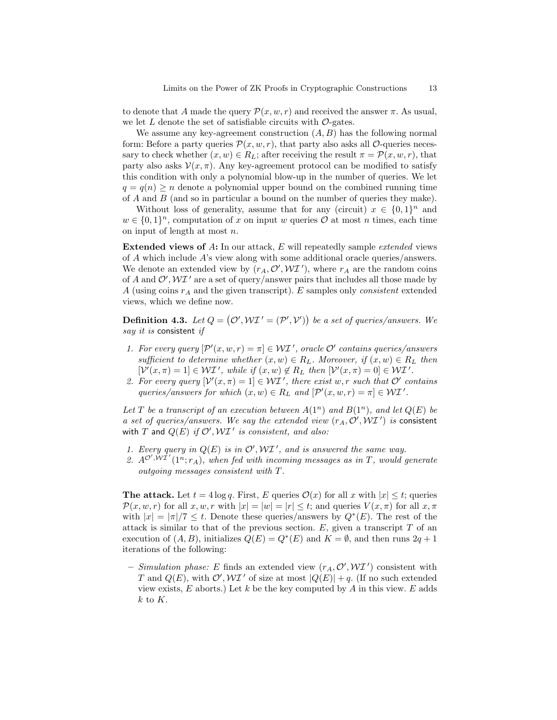to denote that A made the query  $\mathcal{P}(x, w, r)$  and received the answer  $\pi$ . As usual, we let  $L$  denote the set of satisfiable circuits with  $\mathcal{O}\text{-gates}$ .

We assume any key-agreement construction  $(A, B)$  has the following normal form: Before a party queries  $\mathcal{P}(x, w, r)$ , that party also asks all  $\mathcal{O}$ -queries necessary to check whether  $(x, w) \in R_L$ ; after receiving the result  $\pi = \mathcal{P}(x, w, r)$ , that party also asks  $\mathcal{V}(x, \pi)$ . Any key-agreement protocol can be modified to satisfy this condition with only a polynomial blow-up in the number of queries. We let  $q = q(n) > n$  denote a polynomial upper bound on the combined running time of A and B (and so in particular a bound on the number of queries they make).

Without loss of generality, assume that for any (circuit)  $x \in \{0,1\}^n$  and  $w \in \{0,1\}^n$ , computation of x on input w queries  $\mathcal{O}$  at most n times, each time on input of length at most n.

Extended views of A: In our attack, E will repeatedly sample *extended* views of A which include A's view along with some additional oracle queries/answers. We denote an extended view by  $(r_A, \mathcal{O}', \mathcal{WI}')$ , where  $r_A$  are the random coins of A and  $\mathcal{O}', \mathcal{W}$  are a set of query/answer pairs that includes all those made by A (using coins  $r_A$  and the given transcript). E samples only *consistent* extended views, which we define now.

**Definition 4.3.** Let  $Q = (\mathcal{O}', \mathcal{WI}' = (\mathcal{P}', \mathcal{V}'))$  be a set of queries/answers. We say it is consistent if

- 1. For every query  $[\mathcal{P}'(x, w, r) = \pi] \in \mathcal{WI}'$ , oracle  $\mathcal{O}'$  contains queries/answers sufficient to determine whether  $(x, w) \in R_L$ . Moreover, if  $(x, w) \in R_L$  then  $[\mathcal{V}'(x,\pi) = 1] \in \mathcal{WI}'$ , while if  $(x, w) \notin R_L$  then  $[\mathcal{V}'(x,\pi) = 0] \in \mathcal{WI}'$ .
- 2. For every query  $[\mathcal{V}'(x,\pi) = 1] \in \mathcal{WI}'$ , there exist w, r such that  $\mathcal{O}'$  contains queries/answers for which  $(x, w) \in R_L$  and  $[\mathcal{P}'(x, w, r) = \pi] \in \mathcal{WI}'$ .

Let T be a transcript of an execution between  $A(1^n)$  and  $B(1^n)$ , and let  $Q(E)$  be a set of queries/answers. We say the extended view  $(r_A, O', WI')$  is consistent with T and  $Q(E)$  if  $\mathcal{O}', \mathcal{W}\mathcal{I}'$  is consistent, and also:

- 1. Every query in  $Q(E)$  is in  $\mathcal{O}', \mathcal{W} \mathcal{I}'$ , and is answered the same way.
- 2.  $A^{\mathcal{O}',\tilde{\mathcal{W}}\tilde{\mathcal{I}}'}(1^n;r_A),$  when fed with incoming messages as in T, would generate outgoing messages consistent with T.

The attack. Let  $t = 4 \log q$ . First, E queries  $\mathcal{O}(x)$  for all x with  $|x| \leq t$ ; queries  $\mathcal{P}(x, w, r)$  for all  $x, w, r$  with  $|x| = |w| = |r| \leq t$ ; and queries  $V(x, \pi)$  for all  $x, \pi$ with  $|x| = |\pi|/7 \leq t$ . Denote these queries/answers by  $Q^*(E)$ . The rest of the attack is similar to that of the previous section.  $E$ , given a transcript  $T$  of an execution of  $(A, B)$ , initializes  $Q(E) = Q^*(E)$  and  $K = \emptyset$ , and then runs  $2q + 1$ iterations of the following:

- Simulation phase: E finds an extended view  $(r_A, \mathcal{O}', \mathcal{W} \mathcal{I}')$  consistent with T and  $Q(E)$ , with  $\mathcal{O}', \mathcal{W} \mathcal{I}'$  of size at most  $|Q(E)| + q$ . (If no such extended view exists,  $E$  aborts.) Let  $k$  be the key computed by  $A$  in this view.  $E$  adds  $k$  to  $K$ .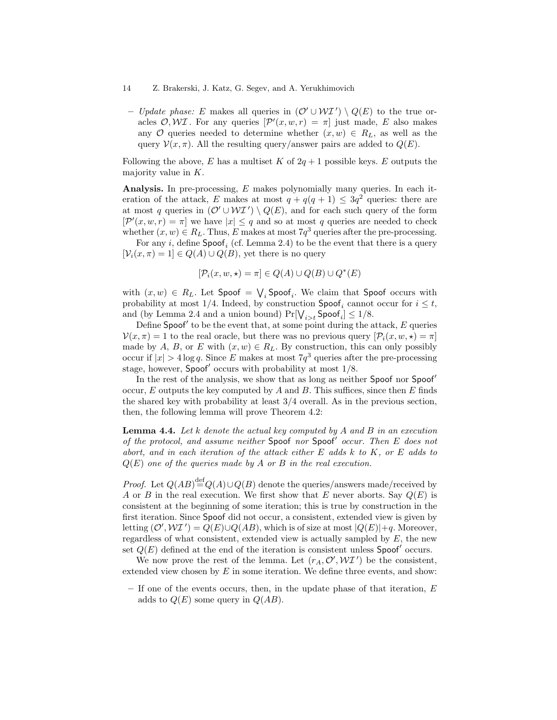– Update phase: E makes all queries in  $(\mathcal{O}' \cup \mathcal{WI}') \setminus Q(E)$  to the true oracles  $\mathcal{O}, \mathcal{W}\mathcal{I}$ . For any queries  $[\mathcal{P}'(x, w, r) = \pi]$  just made, E also makes any O queries needed to determine whether  $(x, w) \in R_L$ , as well as the query  $\mathcal{V}(x, \pi)$ . All the resulting query/answer pairs are added to  $Q(E)$ .

Following the above, E has a multiset K of  $2q + 1$  possible keys. E outputs the majority value in K.

Analysis. In pre-processing, E makes polynomially many queries. In each iteration of the attack, E makes at most  $q + q(q + 1) \leq 3q^2$  queries: there are at most q queries in  $(\mathcal{O}' \cup \mathcal{W} \mathcal{I}') \setminus Q(E)$ , and for each such query of the form  $[\mathcal{P}'(x, w, r) = \pi]$  we have  $|x| \leq q$  and so at most q queries are needed to check whether  $(x, w) \in R_L$ . Thus, E makes at most  $7q^3$  queries after the pre-processing.

For any *i*, define  $\mathsf{Spoof}_i$  (cf. Lemma 2.4) to be the event that there is a query  $[\mathcal{V}_i(x,\pi) = 1] \in Q(A) \cup Q(B)$ , yet there is no query

$$
[\mathcal{P}_i(x, w, \star) = \pi] \in Q(A) \cup Q(B) \cup Q^*(E)
$$

with  $(x, w) \in R_L$ . Let  $\mathsf{Spoof} = \bigvee_i \mathsf{Spoof}_i$ . We claim that  $\mathsf{Spoof}$  occurs with probability at most 1/4. Indeed, by construction  $\mathsf{Spoof}_i$  cannot occur for  $i \leq t$ , and (by Lemma 2.4 and a union bound)  $Pr[\bigvee_{i>t} \mathsf{Spoof}_i] \leq 1/8$ .

Define Spoof' to be the event that, at some point during the attack,  $E$  queries  $V(x, \pi) = 1$  to the real oracle, but there was no previous query  $[\mathcal{P}_i(x, w, \star) = \pi]$ made by A, B, or E with  $(x, w) \in R_L$ . By construction, this can only possibly occur if  $|x| > 4 \log q$ . Since E makes at most  $7q^3$  queries after the pre-processing stage, however, Spoof' occurs with probability at most  $1/8$ .

In the rest of the analysis, we show that as long as neither Spoof nor Spoof occur,  $E$  outputs the key computed by  $A$  and  $B$ . This suffices, since then  $E$  finds the shared key with probability at least 3/4 overall. As in the previous section, then, the following lemma will prove Theorem 4.2:

**Lemma 4.4.** Let k denote the actual key computed by A and B in an execution of the protocol, and assume neither Spoof nor Spoof' occur. Then  $E$  does not abort, and in each iteration of the attack either E adds k to K, or E adds to  $Q(E)$  one of the queries made by A or B in the real execution.

*Proof.* Let  $Q(AB) \stackrel{\text{def}}{=} Q(A) \cup Q(B)$  denote the queries/answers made/received by A or B in the real execution. We first show that E never aborts. Say  $Q(E)$  is consistent at the beginning of some iteration; this is true by construction in the first iteration. Since Spoof did not occur, a consistent, extended view is given by letting  $(\mathcal{O}', \mathcal{W} \mathcal{I}') = Q(E) \cup Q(AB)$ , which is of size at most  $|Q(E)|+q$ . Moreover, regardless of what consistent, extended view is actually sampled by  $E$ , the new set  $Q(E)$  defined at the end of the iteration is consistent unless Spoof' occurs.

We now prove the rest of the lemma. Let  $(r_A, \mathcal{O}', \mathcal{W} \mathcal{I}')$  be the consistent, extended view chosen by  $E$  in some iteration. We define three events, and show:

 $-$  If one of the events occurs, then, in the update phase of that iteration,  $E$ adds to  $Q(E)$  some query in  $Q(AB)$ .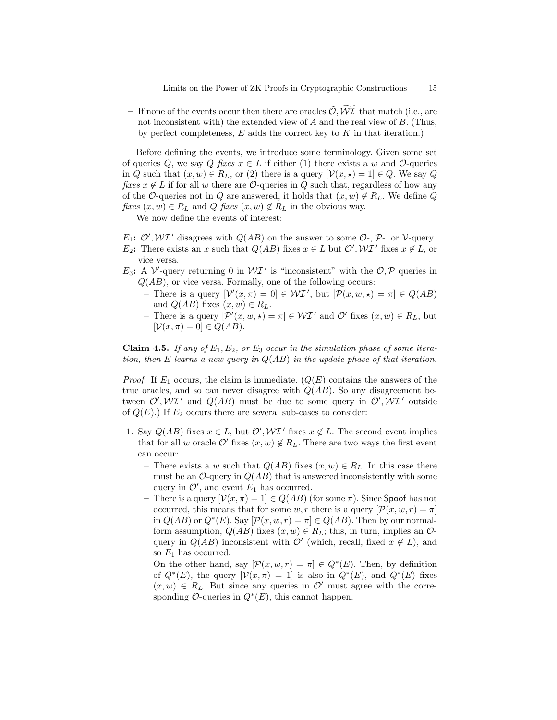– If none of the events occur then there are oracles  $\tilde{O}, \widetilde{W\mathcal{I}}$  that match (i.e., are not inconsistent with) the extended view of A and the real view of B. (Thus, by perfect completeness,  $E$  adds the correct key to  $K$  in that iteration.)

Before defining the events, we introduce some terminology. Given some set of queries Q, we say Q fixes  $x \in L$  if either (1) there exists a w and  $\mathcal{O}$ -queries in Q such that  $(x, w) \in R_L$ , or (2) there is a query  $[\mathcal{V}(x, \star) = 1] \in Q$ . We say Q fixes  $x \notin L$  if for all w there are  $\mathcal{O}$ -queries in Q such that, regardless of how any of the O-queries not in Q are answered, it holds that  $(x, w) \notin R_L$ . We define Q fixes  $(x, w) \in R_L$  and Q fixes  $(x, w) \notin R_L$  in the obvious way.

We now define the events of interest:

 $E_1$ :  $\mathcal{O}', \mathcal{W}I'$  disagrees with  $Q(AB)$  on the answer to some  $\mathcal{O}$ -,  $\mathcal{P}$ -, or  $\mathcal{V}$ -query. E<sub>2</sub>: There exists an x such that  $Q(AB)$  fixes  $x \in L$  but  $\mathcal{O}', \mathcal{W} \mathcal{I}'$  fixes  $x \notin L$ , or vice versa.

- $E_3$ : A  $V'$ -query returning 0 in  $W\mathcal{I}'$  is "inconsistent" with the  $\mathcal{O}, \mathcal{P}$  queries in  $Q(AB)$ , or vice versa. Formally, one of the following occurs:
	- There is a query  $[\mathcal{V}'(x,\pi) = 0] \in \mathcal{WI}'$ , but  $[\mathcal{P}(x,w,\star) = \pi] \in Q(AB)$ and  $Q(AB)$  fixes  $(x, w) \in R_L$ .
	- There is a query  $[\mathcal{P}'(x, w, \star) = \pi] \in \mathcal{WI}'$  and  $\mathcal{O}'$  fixes  $(x, w) \in R_L$ , but  $[\mathcal{V}(x,\pi) = 0] \in Q(AB).$

**Claim 4.5.** If any of  $E_1, E_2$ , or  $E_3$  occur in the simulation phase of some iteration, then E learns a new query in  $Q(AB)$  in the update phase of that iteration.

*Proof.* If  $E_1$  occurs, the claim is immediate.  $(Q(E)$  contains the answers of the true oracles, and so can never disagree with  $Q(AB)$ . So any disagreement between  $\mathcal{O}', \mathcal{W} \mathcal{I}'$  and  $Q(AB)$  must be due to some query in  $\mathcal{O}', \mathcal{W} \mathcal{I}'$  outside of  $Q(E)$ .) If  $E_2$  occurs there are several sub-cases to consider:

- 1. Say  $Q(AB)$  fixes  $x \in L$ , but  $\mathcal{O}', \mathcal{W}I'$  fixes  $x \notin L$ . The second event implies that for all w oracle  $\mathcal{O}'$  fixes  $(x, w) \notin R_L$ . There are two ways the first event can occur:
	- There exists a w such that  $Q(AB)$  fixes  $(x, w) \in R_L$ . In this case there must be an  $\mathcal{O}\text{-}$ query in  $Q(AB)$  that is answered inconsistently with some query in  $\mathcal{O}'$ , and event  $E_1$  has occurred.
	- There is a query  $[\mathcal{V}(x,\pi) = 1] \in Q(AB)$  (for some  $\pi$ ). Since Spoof has not occurred, this means that for some w, r there is a query  $[\mathcal{P}(x, w, r) = \pi]$ in  $Q(AB)$  or  $Q^*(E)$ . Say  $[\mathcal{P}(x, w, r) = \pi] \in Q(AB)$ . Then by our normalform assumption,  $Q(AB)$  fixes  $(x, w) \in R_L$ ; this, in turn, implies an  $\mathcal{O}$ query in  $Q(AB)$  inconsistent with  $\mathcal{O}'$  (which, recall, fixed  $x \notin L$ ), and so  $E_1$  has occurred.

On the other hand, say  $[\mathcal{P}(x, w, r) = \pi] \in Q^*(E)$ . Then, by definition of  $Q^*(E)$ , the query  $[\mathcal{V}(x,\pi) = 1]$  is also in  $Q^*(E)$ , and  $Q^*(E)$  fixes  $(x, w) \in R_L$ . But since any queries in  $\mathcal{O}'$  must agree with the corresponding  $\mathcal{O}\text{-}$ queries in  $Q^*(E)$ , this cannot happen.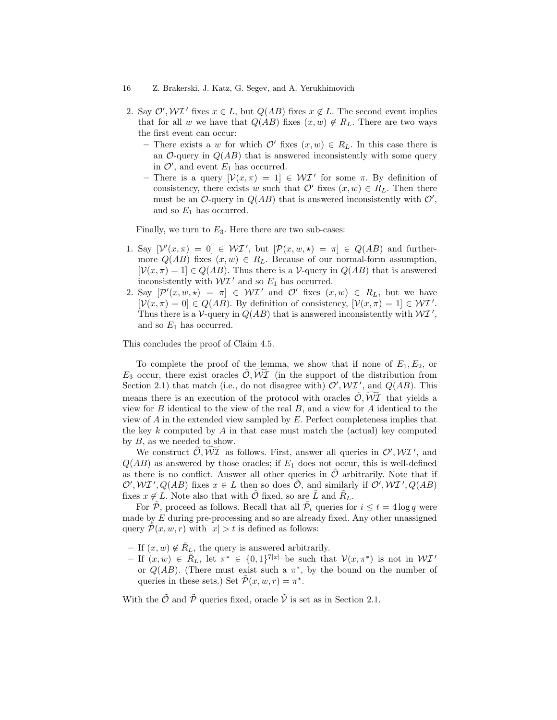- 2. Say  $\mathcal{O}', \mathcal{W} \mathcal{I}'$  fixes  $x \in L$ , but  $Q(AB)$  fixes  $x \notin L$ . The second event implies that for all w we have that  $Q(AB)$  fixes  $(x, w) \notin R_L$ . There are two ways the first event can occur:
	- There exists a w for which  $\mathcal{O}'$  fixes  $(x, w) \in R_L$ . In this case there is an  $\mathcal{O}$ -query in  $Q(AB)$  that is answered inconsistently with some query in  $\mathcal{O}'$ , and event  $E_1$  has occurred.
	- There is a query  $[\mathcal{V}(x,\pi)] = 1] \in \mathcal{WI}'$  for some  $\pi$ . By definition of consistency, there exists w such that  $\mathcal{O}'$  fixes  $(x, w) \in R_L$ . Then there must be an O-query in  $Q(AB)$  that is answered inconsistently with  $O'$ , and so  $E_1$  has occurred.

Finally, we turn to  $E_3$ . Here there are two sub-cases:

- 1. Say  $[\mathcal{V}'(x,\pi) = 0] \in \mathcal{WI}'$ , but  $[\mathcal{P}(x,w,\star) = \pi] \in Q(AB)$  and furthermore  $Q(AB)$  fixes  $(x, w) \in R_L$ . Because of our normal-form assumption,  $[\mathcal{V}(x,\pi) = 1] \in Q(AB)$ . Thus there is a V-query in  $Q(AB)$  that is answered inconsistently with  $W\mathcal{I}'$  and so  $E_1$  has occurred.
- 2. Say  $[\mathcal{P}'(x,w,\star) = \pi] \in \mathcal{WI}'$  and  $\mathcal{O}'$  fixes  $(x,w) \in R_L$ , but we have  $[\mathcal{V}(x,\pi) = 0] \in Q(AB)$ . By definition of consistency,  $[\mathcal{V}(x,\pi) = 1] \in \mathcal{WI}'$ . Thus there is a V-query in  $Q(AB)$  that is answered inconsistently with  $\mathcal{W} \mathcal{I}'$ , and so  $E_1$  has occurred.

This concludes the proof of Claim 4.5.

To complete the proof of the lemma, we show that if none of  $E_1, E_2$ , or  $E_3$  occur, there exist oracles  $\tilde{\mathcal{O}}, \tilde{\mathcal{WI}}$  (in the support of the distribution from Section 2.1) that match (i.e., do not disagree with)  $\mathcal{O}', \mathcal{W} \mathcal{I}'$ , and  $Q(AB)$ . This means there is an execution of the protocol with oracles  $\mathcal{O}, \mathcal{WI}$  that yields a view for  $B$  identical to the view of the real  $B$ , and a view for  $A$  identical to the view of A in the extended view sampled by E. Perfect completeness implies that the key  $k$  computed by  $A$  in that case must match the (actual) key computed by  $B$ , as we needed to show.

We construct  $\widetilde{\mathcal{O}}, \widetilde{\mathcal{WI}}$  as follows. First, answer all queries in  $\mathcal{O}', \mathcal{WI}'$ , and  $Q(AB)$  as answered by those oracles; if  $E_1$  does not occur, this is well-defined as there is no conflict. Answer all other queries in  $\mathcal O$  arbitrarily. Note that if  $\mathcal{O}', \mathcal{W} \mathcal{I}', Q(AB)$  fixes  $x \in L$  then so does  $\tilde{\mathcal{O}}$ , and similarly if  $\mathcal{O}', \mathcal{W} \mathcal{I}', Q(AB)$ fixes  $x \notin L$ . Note also that with  $\mathcal{O}$  fixed, so are L and  $R_L$ .

For  $\tilde{P}$ , proceed as follows. Recall that all  $\tilde{P}_i$  queries for  $i \leq t = 4 \log q$  were made by E during pre-processing and so are already fixed. Any other unassigned query  $\mathcal{P}(x, w, r)$  with  $|x| > t$  is defined as follows:

- If  $(x, w) \notin R_L$ , the query is answered arbitrarily.
- $-$  If  $(x, w) \in \tilde{R}_L$ , let  $\pi^* \in \{0, 1\}^{7|x|}$  be such that  $\mathcal{V}(x, \pi^*)$  is not in  $\mathcal{W} \mathcal{I}'$ or  $Q(AB)$ . (There must exist such a  $\pi^*$ , by the bound on the number of queries in these sets.) Set  $\tilde{\mathcal{P}}(x, w, r) = \pi^*$ .

With the  $\tilde{\mathcal{O}}$  and  $\tilde{\mathcal{P}}$  queries fixed, oracle  $\tilde{\mathcal{V}}$  is set as in Section 2.1.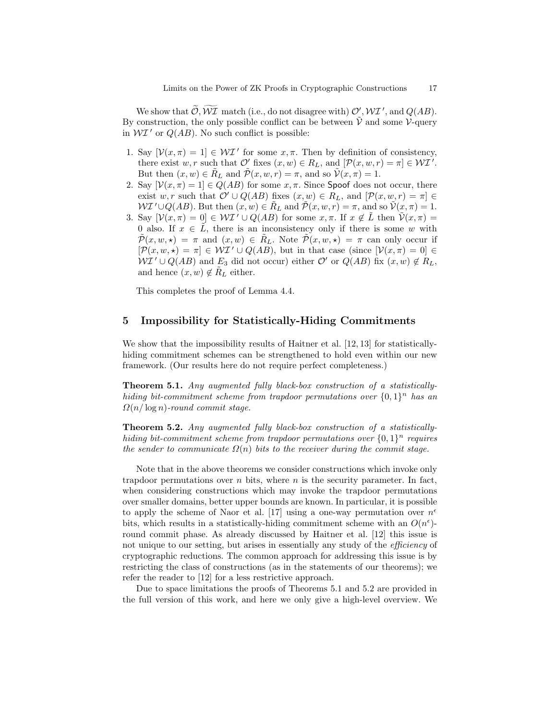We show that  $\tilde{\mathcal{O}}, \tilde{\mathcal{WI}}$  match (i.e., do not disagree with)  $\mathcal{O}', \mathcal{WI}'$ , and  $Q(AB)$ . By construction, the only possible conflict can be between  $\tilde{V}$  and some V-query in  $\mathcal{W} \mathcal{I}'$  or  $Q(AB)$ . No such conflict is possible:

- 1. Say  $[\mathcal{V}(x,\pi) = 1] \in \mathcal{WI}'$  for some  $x, \pi$ . Then by definition of consistency, there exist w, r such that  $\mathcal{O}'$  fixes  $(x, w) \in R_L$ , and  $[\mathcal{P}(x, w, r) = \pi] \in \mathcal{WI}'$ . But then  $(x, w) \in R_L$  and  $\mathcal{P}(x, w, r) = \pi$ , and so  $\mathcal{V}(x, \pi) = 1$ .
- 2. Say  $[\mathcal{V}(x,\pi) = 1] \in Q(AB)$  for some  $x, \pi$ . Since Spoof does not occur, there exist w, r such that  $\mathcal{O}' \cup Q(AB)$  fixes  $(x, w) \in R_L$ , and  $[\mathcal{P}(x, w, r) = \pi] \in$  $\mathcal{W} \mathcal{I}' \cup Q(AB)$ . But then  $(x, w) \in R_L$  and  $\mathcal{P}(x, w, r) = \pi$ , and so  $\mathcal{V}(x, \pi) = 1$ .
- 3. Say  $[\mathcal{V}(x,\pi) = 0] \in \mathcal{WI}' \cup Q(AB)$  for some  $x, \pi$ . If  $x \notin \tilde{L}$  then  $\tilde{\mathcal{V}}(x,\pi) =$ 0 also. If  $x \in L$ , there is an inconsistency only if there is some w with  $\tilde{\mathcal{P}}(x, w, \star) = \pi$  and  $(x, w) \in \tilde{R}_L$ . Note  $\tilde{\mathcal{P}}(x, w, \star) = \pi$  can only occur if  $[\mathcal{P}(x, w, \star) = \pi] \in \mathcal{WI}' \cup Q(AB)$ , but in that case (since  $[\mathcal{V}(x, \pi) = 0] \in$  $\mathcal{W} \mathcal{I}' \cup Q(AB)$  and  $E_3$  did not occur) either  $\mathcal{O}'$  or  $Q(AB)$  fix  $(x, w) \notin R_L$ , and hence  $(x, w) \notin R_L$  either.

This completes the proof of Lemma 4.4.

# 5 Impossibility for Statistically-Hiding Commitments

We show that the impossibility results of Haitner et al. [12, 13] for statisticallyhiding commitment schemes can be strengthened to hold even within our new framework. (Our results here do not require perfect completeness.)

Theorem 5.1. Any augmented fully black-box construction of a statisticallyhiding bit-commitment scheme from trapdoor permutations over  $\{0,1\}^n$  has an  $\Omega(n/\log n)$ -round commit stage.

Theorem 5.2. Any augmented fully black-box construction of a statisticallyhiding bit-commitment scheme from trapdoor permutations over  $\{0,1\}^n$  requires the sender to communicate  $\Omega(n)$  bits to the receiver during the commit stage.

Note that in the above theorems we consider constructions which invoke only trapdoor permutations over n bits, where  $n$  is the security parameter. In fact, when considering constructions which may invoke the trapdoor permutations over smaller domains, better upper bounds are known. In particular, it is possible to apply the scheme of Naor et al. [17] using a one-way permutation over  $n^{\epsilon}$ bits, which results in a statistically-hiding commitment scheme with an  $O(n^{\epsilon})$ round commit phase. As already discussed by Haitner et al. [12] this issue is not unique to our setting, but arises in essentially any study of the *efficiency* of cryptographic reductions. The common approach for addressing this issue is by restricting the class of constructions (as in the statements of our theorems); we refer the reader to [12] for a less restrictive approach.

Due to space limitations the proofs of Theorems 5.1 and 5.2 are provided in the full version of this work, and here we only give a high-level overview. We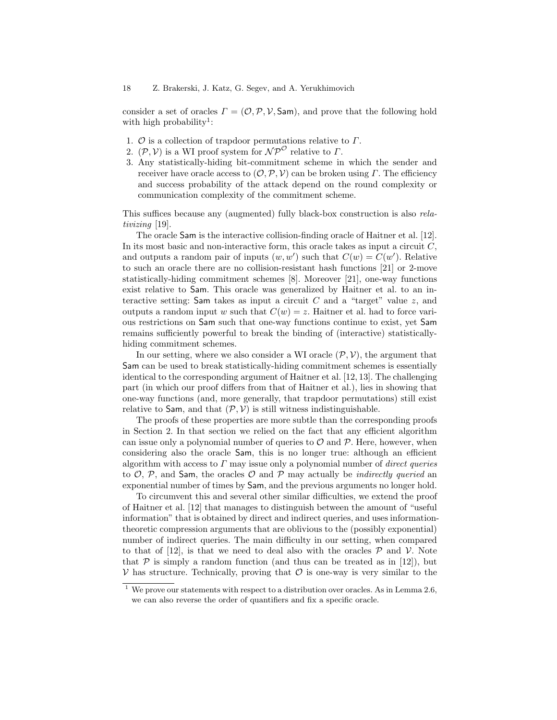consider a set of oracles  $\Gamma = (\mathcal{O}, \mathcal{P}, \mathcal{V}, \mathsf{Sam})$ , and prove that the following hold with high probability<sup>1</sup>:

- 1.  $\mathcal O$  is a collection of trapdoor permutations relative to  $\Gamma$ .
- 2.  $(\mathcal{P}, \mathcal{V})$  is a WI proof system for  $\mathcal{NP}^{\mathcal{O}}$  relative to  $\Gamma$ .
- 3. Any statistically-hiding bit-commitment scheme in which the sender and receiver have oracle access to  $(0, \mathcal{P}, \mathcal{V})$  can be broken using  $\Gamma$ . The efficiency and success probability of the attack depend on the round complexity or communication complexity of the commitment scheme.

This suffices because any (augmented) fully black-box construction is also relativizing [19].

The oracle Sam is the interactive collision-finding oracle of Haitner et al. [12]. In its most basic and non-interactive form, this oracle takes as input a circuit  $C$ . and outputs a random pair of inputs  $(w, w')$  such that  $C(w) = C(w')$ . Relative to such an oracle there are no collision-resistant hash functions [21] or 2-move statistically-hiding commitment schemes [8]. Moreover [21], one-way functions exist relative to Sam. This oracle was generalized by Haitner et al. to an interactive setting: Sam takes as input a circuit  $C$  and a "target" value  $z$ , and outputs a random input w such that  $C(w) = z$ . Haitner et al. had to force various restrictions on Sam such that one-way functions continue to exist, yet Sam remains sufficiently powerful to break the binding of (interactive) statisticallyhiding commitment schemes.

In our setting, where we also consider a WI oracle  $(\mathcal{P}, \mathcal{V})$ , the argument that Sam can be used to break statistically-hiding commitment schemes is essentially identical to the corresponding argument of Haitner et al. [12, 13]. The challenging part (in which our proof differs from that of Haitner et al.), lies in showing that one-way functions (and, more generally, that trapdoor permutations) still exist relative to Sam, and that  $(\mathcal{P}, \mathcal{V})$  is still witness indistinguishable.

The proofs of these properties are more subtle than the corresponding proofs in Section 2. In that section we relied on the fact that any efficient algorithm can issue only a polynomial number of queries to  $\mathcal O$  and  $\mathcal P$ . Here, however, when considering also the oracle Sam, this is no longer true: although an efficient algorithm with access to  $\Gamma$  may issue only a polynomial number of *direct queries* to  $\mathcal{O}, \mathcal{P},$  and Sam, the oracles  $\mathcal{O}$  and  $\mathcal{P}$  may actually be *indirectly queried* an exponential number of times by Sam, and the previous arguments no longer hold.

To circumvent this and several other similar difficulties, we extend the proof of Haitner et al. [12] that manages to distinguish between the amount of "useful information" that is obtained by direct and indirect queries, and uses informationtheoretic compression arguments that are oblivious to the (possibly exponential) number of indirect queries. The main difficulty in our setting, when compared to that of [12], is that we need to deal also with the oracles  $P$  and  $V$ . Note that  $\mathcal P$  is simply a random function (and thus can be treated as in [12]), but  $V$  has structure. Technically, proving that  $\mathcal O$  is one-way is very similar to the

 $1$  We prove our statements with respect to a distribution over oracles. As in Lemma 2.6, we can also reverse the order of quantifiers and fix a specific oracle.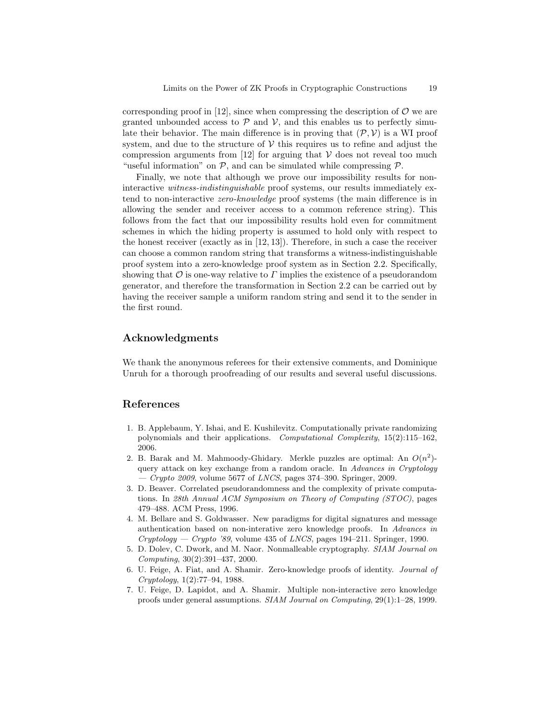corresponding proof in [12], since when compressing the description of  $\mathcal O$  we are granted unbounded access to  $\mathcal P$  and  $\mathcal V$ , and this enables us to perfectly simulate their behavior. The main difference is in proving that  $(\mathcal{P}, \mathcal{V})$  is a WI proof system, and due to the structure of  $V$  this requires us to refine and adjust the compression arguments from  $[12]$  for arguing that  $\mathcal V$  does not reveal too much "useful information" on  $P$ , and can be simulated while compressing  $P$ .

Finally, we note that although we prove our impossibility results for noninteractive witness-indistinguishable proof systems, our results immediately extend to non-interactive zero-knowledge proof systems (the main difference is in allowing the sender and receiver access to a common reference string). This follows from the fact that our impossibility results hold even for commitment schemes in which the hiding property is assumed to hold only with respect to the honest receiver (exactly as in [12, 13]). Therefore, in such a case the receiver can choose a common random string that transforms a witness-indistinguishable proof system into a zero-knowledge proof system as in Section 2.2. Specifically, showing that  $\mathcal O$  is one-way relative to  $\Gamma$  implies the existence of a pseudorandom generator, and therefore the transformation in Section 2.2 can be carried out by having the receiver sample a uniform random string and send it to the sender in the first round.

# Acknowledgments

We thank the anonymous referees for their extensive comments, and Dominique Unruh for a thorough proofreading of our results and several useful discussions.

# References

- 1. B. Applebaum, Y. Ishai, and E. Kushilevitz. Computationally private randomizing polynomials and their applications. Computational Complexity, 15(2):115–162, 2006.
- 2. B. Barak and M. Mahmoody-Ghidary. Merkle puzzles are optimal: An  $O(n^2)$ query attack on key exchange from a random oracle. In Advances in Cryptology  $-$  Crypto 2009, volume 5677 of LNCS, pages 374–390. Springer, 2009.
- 3. D. Beaver. Correlated pseudorandomness and the complexity of private computations. In 28th Annual ACM Symposium on Theory of Computing (STOC), pages 479–488. ACM Press, 1996.
- 4. M. Bellare and S. Goldwasser. New paradigms for digital signatures and message authentication based on non-interative zero knowledge proofs. In Advances in  $Cryptology - Crypto'89$ , volume 435 of *LNCS*, pages 194–211. Springer, 1990.
- 5. D. Dolev, C. Dwork, and M. Naor. Nonmalleable cryptography. SIAM Journal on Computing, 30(2):391–437, 2000.
- 6. U. Feige, A. Fiat, and A. Shamir. Zero-knowledge proofs of identity. Journal of Cryptology, 1(2):77–94, 1988.
- 7. U. Feige, D. Lapidot, and A. Shamir. Multiple non-interactive zero knowledge proofs under general assumptions. SIAM Journal on Computing, 29(1):1–28, 1999.